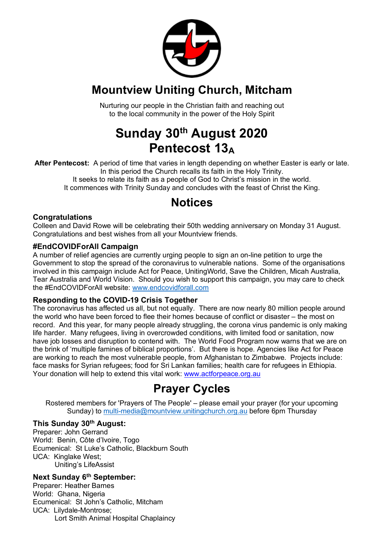

# **Mountview Uniting Church, Mitcham**

Nurturing our people in the Christian faith and reaching out to the local community in the power of the Holy Spirit

# **Sunday 30th August 2020 Pentecost 13A**

**After Pentecost:** A period of time that varies in length depending on whether Easter is early or late. In this period the Church recalls its faith in the Holy Trinity. It seeks to relate its faith as a people of God to Christ's mission in the world. It commences with Trinity Sunday and concludes with the feast of Christ the King.

# **Notices**

#### **Congratulations**

Colleen and David Rowe will be celebrating their 50th wedding anniversary on Monday 31 August. Congratulations and best wishes from all your Mountview friends.

#### **#EndCOVIDForAll Campaign**

A number of relief agencies are currently urging people to sign an on-line petition to urge the Government to stop the spread of the coronavirus to vulnerable nations. Some of the organisations involved in this campaign include Act for Peace, UnitingWorld, Save the Children, Micah Australia, Tear Australia and World Vision. Should you wish to support this campaign, you may care to check the #EndCOVIDForAll website: www.endcovidforall.com

#### **Responding to the COVID-19 Crisis Together**

The coronavirus has affected us all, but not equally. There are now nearly 80 million people around the world who have been forced to flee their homes because of conflict or disaster – the most on record. And this year, for many people already struggling, the corona virus pandemic is only making life harder. Many refugees, living in overcrowded conditions, with limited food or sanitation, now have job losses and disruption to contend with. The World Food Program now warns that we are on the brink of 'multiple famines of biblical proportions'. But there is hope. Agencies like Act for Peace are working to reach the most vulnerable people, from Afghanistan to Zimbabwe. Projects include: face masks for Syrian refugees; food for Sri Lankan families; health care for refugees in Ethiopia. Your donation will help to extend this vital work: www.actforpeace.org.au

# **Prayer Cycles**

Rostered members for 'Prayers of The People' – please email your prayer (for your upcoming Sunday) to multi-media@mountview.unitingchurch.org.au before 6pm Thursday

#### **This Sunday 30th August:**

Preparer: John Gerrand World: Benin, Côte d'Ivoire, Togo Ecumenical: St Luke's Catholic, Blackburn South UCA: Kinglake West; Uniting's LifeAssist

#### **Next Sunday 6th September:**

Preparer: Heather Barnes World: Ghana, Nigeria Ecumenical: St John's Catholic, Mitcham UCA: Lilydale-Montrose; Lort Smith Animal Hospital Chaplaincy